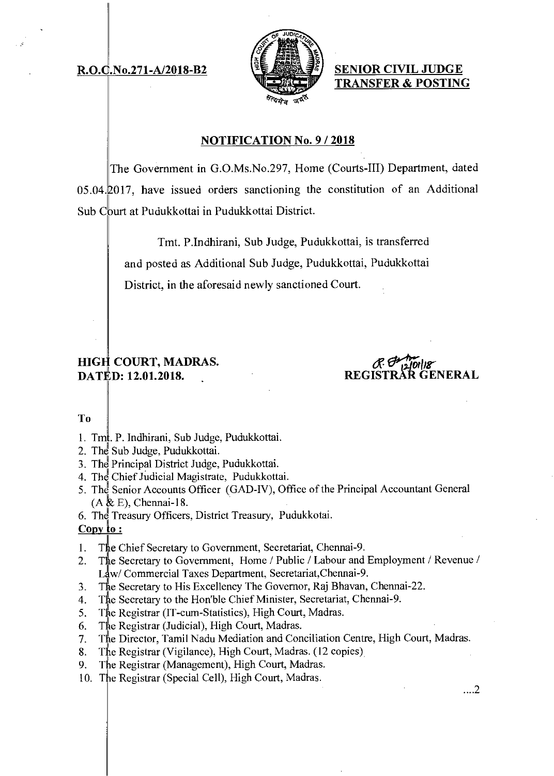# **R.O.C.No.271-A/2018-B2**



**SENIOR CIVIL JUDGE TRANSFER & POSTING** 

## **NOTIFICATION No. 9 / 2018**

The Government in G.O.Ms.No.297, Home (Courts-III) Department, dated  $05.04\text{ }12017$ , have issued orders sanctioning the constitution of an Additional Sub Court at Pudukkottai in Pudukkottai District.

> Tmt. P.Indhirani, Sub Judge, Pudukkottai, is transferred and posted as Additional Sub Judge, Pudukkottai, Pudukkottai District, in the aforesaid newly sanctioned Court.

## **HIGH COURT, MADRAS. DATED: 12.01.2018.**

 $\frac{1}{2}$ <sup>1</sup> **REGISTRAR GENERAL** 

### To

- 1. Tm. P. Indhirani, Sub Judge, Pudukkottai.
- 2. The Sub Judge, Pudukkottai.
- 3. The Principal District Judge, Pudukkottai.
- 4. The Chief Judicial Magistrate, Pudukkottai.
- 5. The Senior Accounts Officer (GAD-IV), Office of the Principal Accountant General  $(A \& E)$ , Chennai-18.
- 6. The Treasury Officers, District Treasury, Pudukkotai.

## **Copy to:**

- 1. The Chief Secretary to Government, Secretariat, Chennai-9.<br>2. The Secretary to Government, Home / Public / Labour and
- The Secretary to Government, Home / Public / Labour and Employment / Revenue / Law/ Commercial Taxes Department, Secretariat, Chennai-9.
- 3. The Secretary to His Excellency The Governor, Raj Bhavan, Chennai-22.
- 4. Tie Secretary to the Hon'ble Chief Minister, Secretariat, Chennai-9.
- 5. The Registrar (IT-cum-Statistics), High Court, Madras.
- 6. The Registrar (Judicial), High Court, Madras.
- 7. The Director, Tamil Nadu Mediation and Conciliation Centre, High Court, Madras.
- 8. The Registrar (Vigilance), High Court, Madras. (12 copies)
- 9. The Registrar (Management), High Court, Madras.
- 10. The Registrar (Special Cell), High Court, Madras.

...2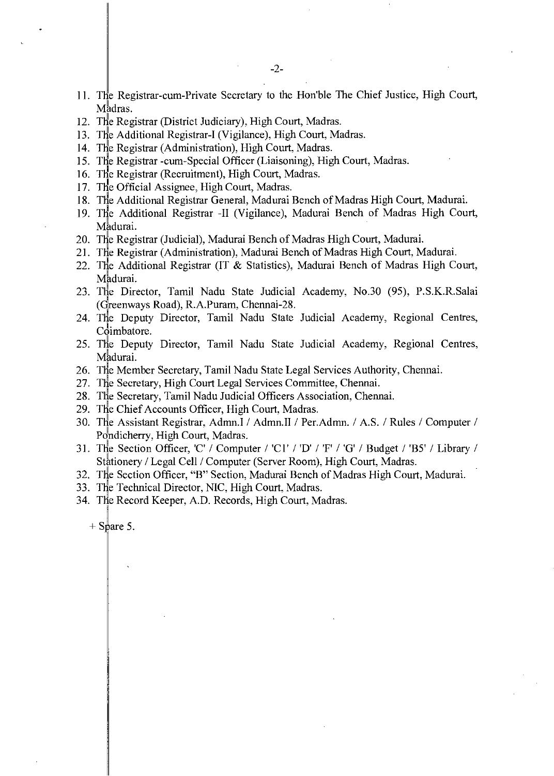- 11. The Registrar-cum-Private Secretary to the Hon'ble The Chief Justice, High Court, Madras.
- 12. The Registrar (District Judiciary), High Court, Madras.
- 13. The Additional Registrar-I (Vigilance), High Court, Madras.
- 14. The Registrar (Administration), High Court, Madras.
- 15. The Registrar -cum-Special Officer (Liaisoning), High Court, Madras.
- 16. The Registrar (Recruitment), High Court, Madras.
- 17. The Official Assignee, High Court, Madras.
- 18. The Additional Registrar General, Madurai Bench of Madras High Court, Madurai.
- 19. The Additional Registrar -II (Vigilance), Madurai Bench of Madras High Court, Madurai.
- 20. The Registrar (Judicial), Madurai Bench of Madras High Court, Madurai.
- 21. The Registrar (Administration), Madurai Bench of Madras High Court, Madurai.
- 22. The Additional Registrar (IT & Statistics), Madurai Bench of Madras High Court, Madurai.
- 23. The Director, Tamil Nadu State Judicial Academy, No.30 (95), P.S.K.R.Salai (Greenways Road), R.A.Puram, Chennai-28.
- 24. The Deputy Director, Tamil Nadu State Judicial Academy, Regional Centres, Coimbatore.
- 25. The Deputy Director, Tamil Nadu State Judicial Academy, Regional Centres, Madurai.
- 26. The Member Secretary, Tamil Nadu State Legal Services Authority, Chennai.
- 27. The Secretary, High Court Legal Services Committee, Chennai.
- 28. The Secretary, Tamil Nadu Judicial Officers Association, Chennai.
- 29. The Chief Accounts Officer, High Court, Madras.
- 30. The Assistant Registrar, Admn.I / Admn.II / Per.Admn. / A.S. / Rules / Computer / Pondicherry, High Court, Madras.
- 31. The Section Officer, 'C' / Computer / 'Cl / / 'F' / 'G' / Budget / 'B5' / Library / Stationery / Legal Cell / Computer (Server Room), High Court, Madras.
- 32. The Section Officer, "B" Section, Madurai Bench of Madras High Court, Madurai.
- 33. The Technical Director, NIC, High Court, Madras.
- 34. The Record Keeper, A.D. Records, High Court, Madras.

 $+$  Spare 5.